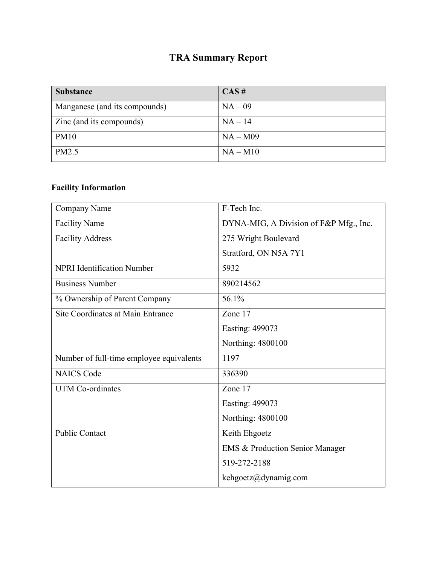## **TRA Summary Report**

| <b>Substance</b>              | CAS#       |
|-------------------------------|------------|
| Manganese (and its compounds) | $NA-09$    |
| Zinc (and its compounds)      | $NA-14$    |
| <b>PM10</b>                   | $NA - M09$ |
| PM2.5                         | $NA - M10$ |

#### **Facility Information**

| <b>Company Name</b>                      | F-Tech Inc.                                |
|------------------------------------------|--------------------------------------------|
| <b>Facility Name</b>                     | DYNA-MIG, A Division of F&P Mfg., Inc.     |
| <b>Facility Address</b>                  | 275 Wright Boulevard                       |
|                                          | Stratford, ON N5A 7Y1                      |
| <b>NPRI</b> Identification Number        | 5932                                       |
| <b>Business Number</b>                   | 890214562                                  |
| % Ownership of Parent Company            | 56.1%                                      |
| Site Coordinates at Main Entrance        | Zone 17                                    |
|                                          | Easting: 499073                            |
|                                          | Northing: 4800100                          |
| Number of full-time employee equivalents | 1197                                       |
| <b>NAICS Code</b>                        | 336390                                     |
| <b>UTM Co-ordinates</b>                  | Zone 17                                    |
|                                          | Easting: 499073                            |
|                                          | Northing: 4800100                          |
| <b>Public Contact</b>                    | Keith Ehgoetz                              |
|                                          | <b>EMS &amp; Production Senior Manager</b> |
|                                          | 519-272-2188                               |
|                                          | kehgoetz@dynamig.com                       |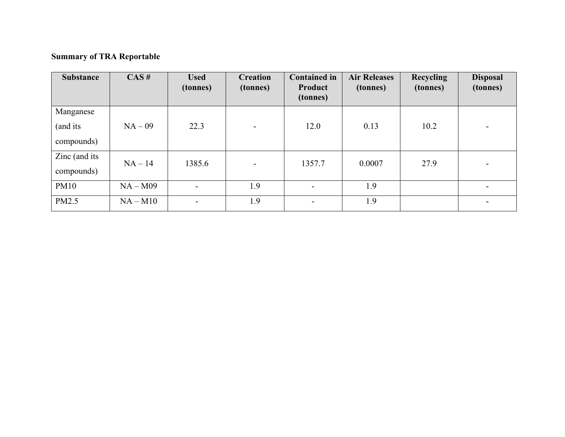### **Summary of TRA Reportable**

| <b>Substance</b>                    | CAS#       | <b>Used</b><br>(tonnes) | <b>Creation</b><br>(tonnes) | <b>Contained in</b><br>Product<br>(tonnes) | <b>Air Releases</b><br>(tonnes) | <b>Recycling</b><br>(tonnes) | <b>Disposal</b><br>(tonnes) |
|-------------------------------------|------------|-------------------------|-----------------------------|--------------------------------------------|---------------------------------|------------------------------|-----------------------------|
| Manganese<br>(and its<br>compounds) | $NA-09$    | 22.3                    |                             | 12.0                                       | 0.13                            | 10.2                         |                             |
| Zinc (and its<br>compounds)         | $NA-14$    | 1385.6                  | $\overline{\phantom{a}}$    | 1357.7                                     | 0.0007                          | 27.9                         |                             |
| <b>PM10</b>                         | $NA - M09$ | Ξ.                      | 1.9                         | $\blacksquare$                             | 1.9                             |                              |                             |
| PM2.5                               | $NA - M10$ | -                       | 1.9                         |                                            | 1.9                             |                              |                             |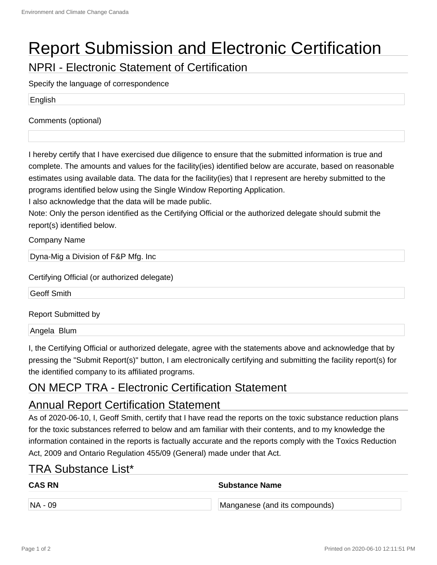# Report Submission and Electronic Certification

NPRI - Electronic Statement of Certification

Specify the language of correspondence

English

Comments (optional)

I hereby certify that I have exercised due diligence to ensure that the submitted information is true and complete. The amounts and values for the facility(ies) identified below are accurate, based on reasonable estimates using available data. The data for the facility(ies) that I represent are hereby submitted to the programs identified below using the Single Window Reporting Application.

I also acknowledge that the data will be made public.

Note: Only the person identified as the Certifying Official or the authorized delegate should submit the report(s) identified below.

Company Name

Dyna-Mig a Division of F&P Mfg. Inc

Certifying Official (or authorized delegate)

Geoff Smith

Report Submitted by

Angela Blum

I, the Certifying Official or authorized delegate, agree with the statements above and acknowledge that by pressing the "Submit Report(s)" button, I am electronically certifying and submitting the facility report(s) for the identified company to its affiliated programs.

#### ON MECP TRA - Electronic Certification Statement

#### Annual Report Certification Statement

As of 2020-06-10, I, Geoff Smith, certify that I have read the reports on the toxic substance reduction plans for the toxic substances referred to below and am familiar with their contents, and to my knowledge the information contained in the reports is factually accurate and the reports comply with the Toxics Reduction Act, 2009 and Ontario Regulation 455/09 (General) made under that Act.

#### TRA Substance List\*

| <b>CAS RN</b> | <b>Substance Name</b>         |  |
|---------------|-------------------------------|--|
| $NA - 09$     | Manganese (and its compounds) |  |